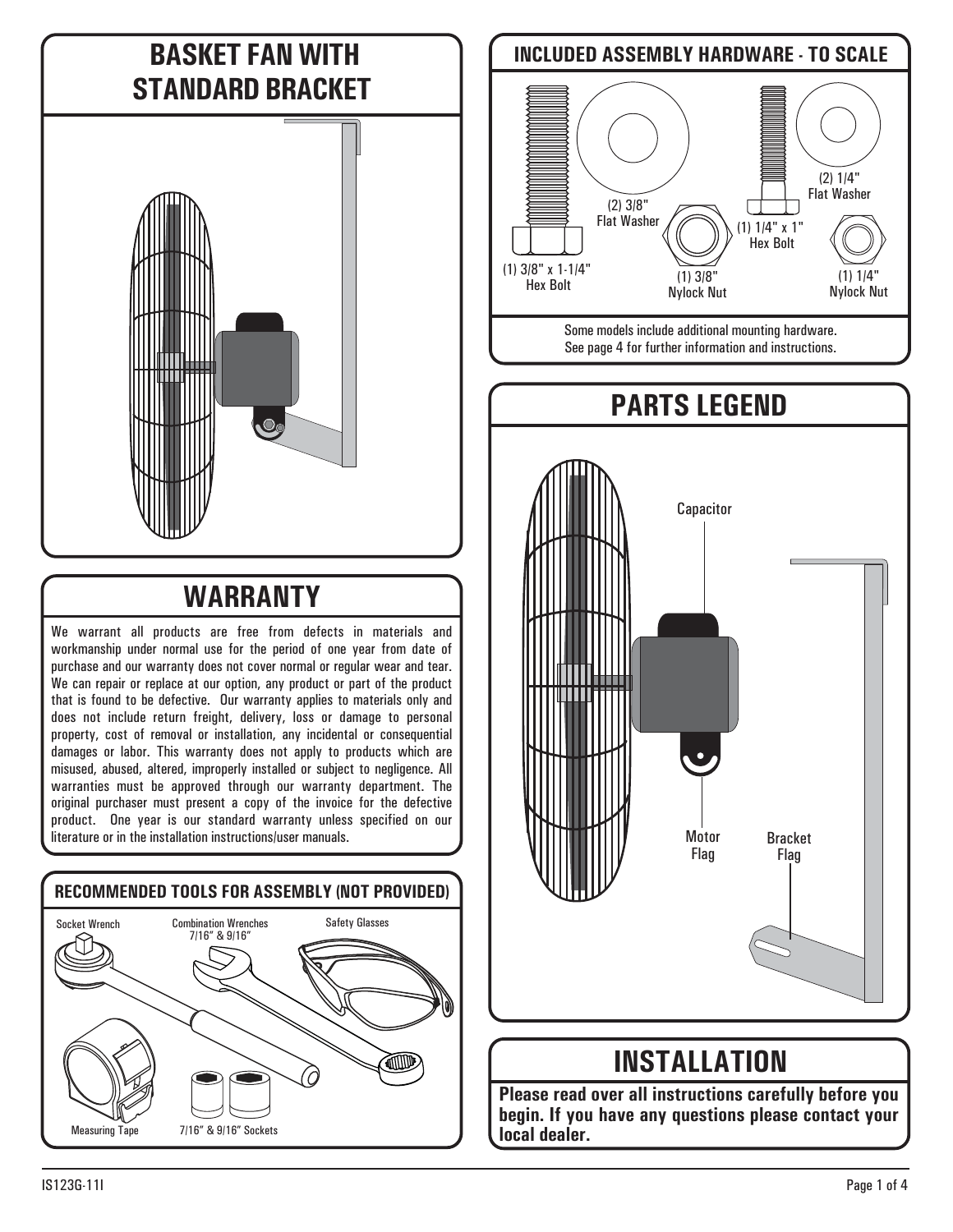### **BASKET FAN WITH STANDARD BRACKET**



# **WARRANTY**

We warrant all products are free from defects in materials and workmanship under normal use for the period of one year from date of purchase and our warranty does not cover normal or regular wear and tear. We can repair or replace at our option, any product or part of the product that is found to be defective. Our warranty applies to materials only and does not include return freight, delivery, loss or damage to personal property, cost of removal or installation, any incidental or consequential damages or labor. This warranty does not apply to products which are misused, abused, altered, improperly installed or subject to negligence. All warranties must be approved through our warranty department. The original purchaser must present a copy of the invoice for the defective product. One year is our standard warranty unless specified on our literature or in the installation instructions/user manuals.



# (1) 3/8" Nylock Nut (1) 3/8" x 1-1/4" Hex Bolt (2) 3/8" Flat Washer (1) 1/4" Nylock Nut (1) 1/4" x 1" Hex Bolt (2) 1/4" Flat Washer **PARTS LEGEND** Bracket Flag Motor Flag **Capacitor INCLUDED ASSEMBLY HARDWARE - TO SCALE** Some models include additional mounting hardware. See page 4 for further information and instructions.

#### **INSTALLATION**

**Please read over all instructions carefully before you begin. If you have any questions please contact your local dealer.**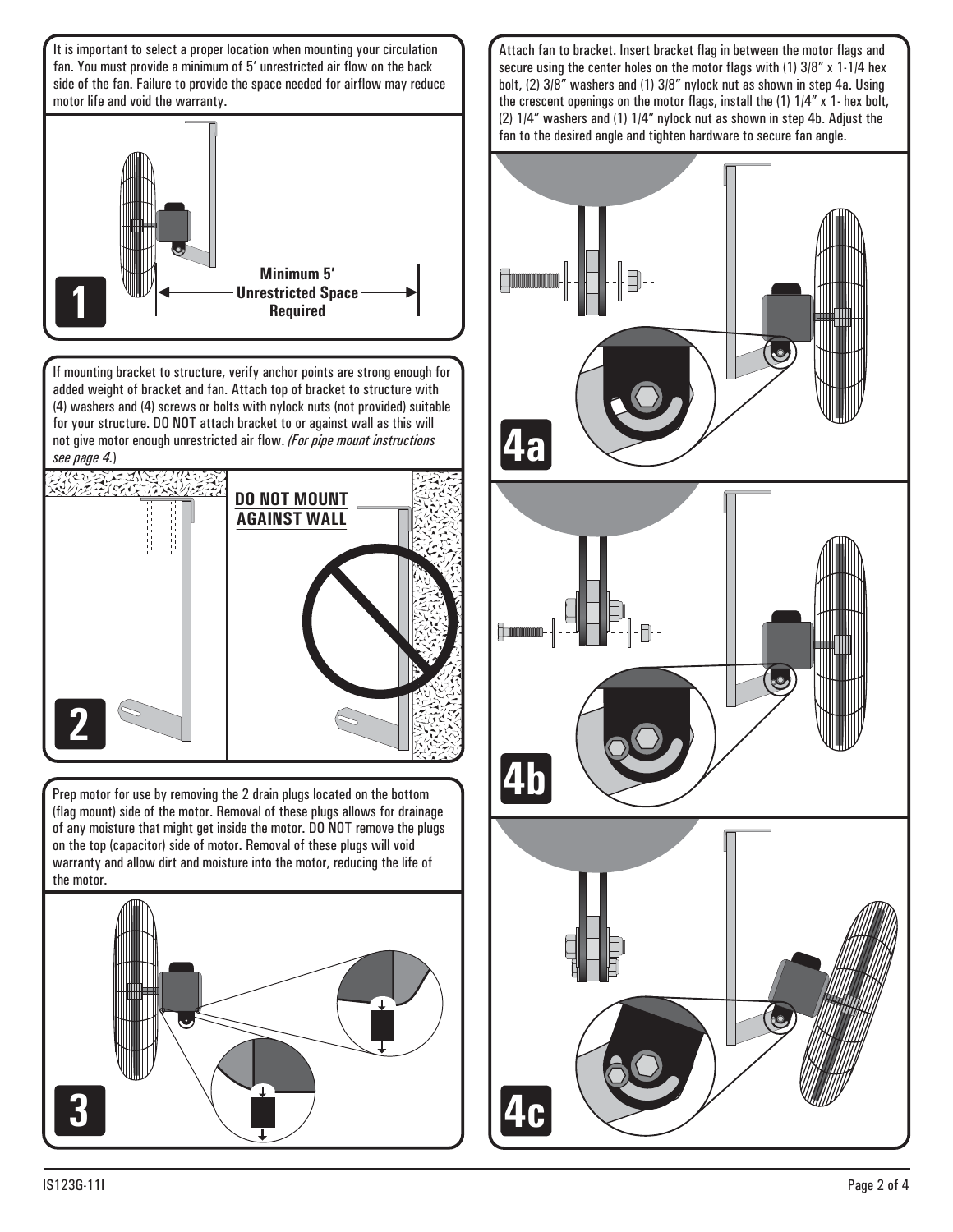

Attach fan to bracket. Insert bracket flag in between the motor flags and secure using the center holes on the motor flags with (1) 3/8" x 1-1/4 hex bolt, (2) 3/8" washers and (1) 3/8" nylock nut as shown in step 4a. Using the crescent openings on the motor flags, install the (1) 1/4" x 1- hex bolt, (2) 1/4" washers and (1) 1/4" nylock nut as shown in step 4b. Adjust the fan to the desired angle and tighten hardware to secure fan angle.

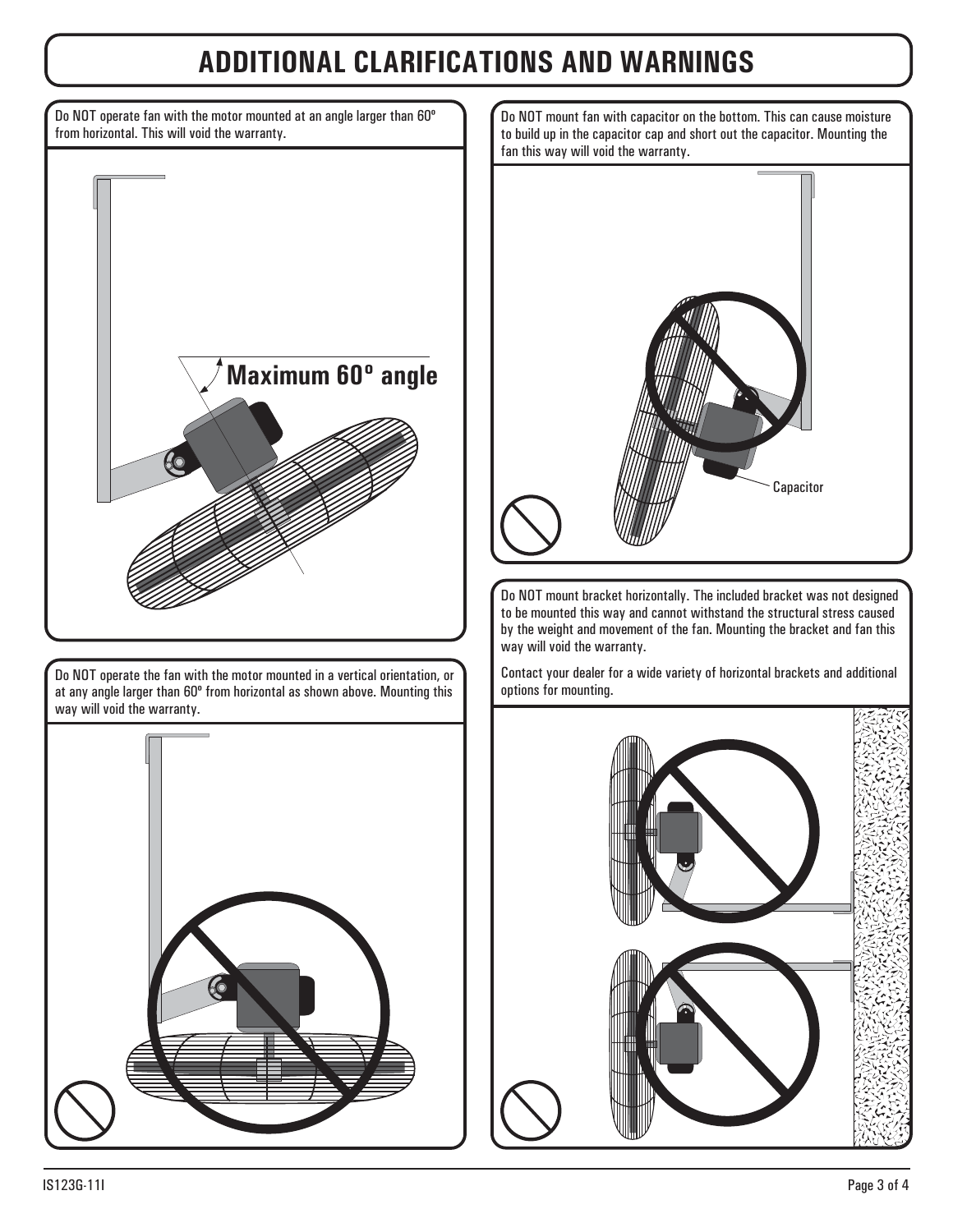### **ADDITIONAL CLARIFICATIONS AND WARNINGS**

**Maximum 60º angle**  Do NOT operate the fan with the motor mounted in a vertical orientation, or at any angle larger than 60º from horizontal as shown above. Mounting this way will void the warranty. Do NOT operate fan with the motor mounted at an angle larger than 60º from horizontal. This will void the warranty.



Do NOT mount bracket horizontally. The included bracket was not designed to be mounted this way and cannot withstand the structural stress caused by the weight and movement of the fan. Mounting the bracket and fan this way will void the warranty.

Contact your dealer for a wide variety of horizontal brackets and additional options for mounting.